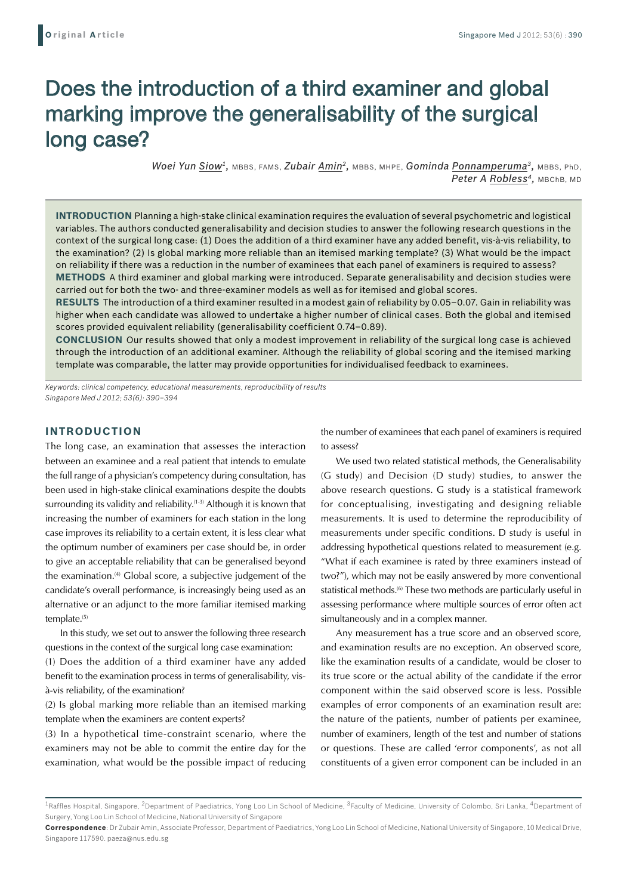# Does the introduction of a third examiner and global marking improve the generalisability of the surgical long case?

*Woei Yun Siow1,* MBBS, FAMS, *Zubair Amin2,* MBBS, MHPE, *Gominda Ponnamperuma3,* MBBS, PhD, *Peter A Robless4,* MBChB, MD

**Introduction** Planning a high-stake clinical examination requires the evaluation of several psychometric and logistical variables. The authors conducted generalisability and decision studies to answer the following research questions in the context of the surgical long case: (1) Does the addition of a third examiner have any added benefit, vis-à-vis reliability, to the examination? (2) Is global marking more reliable than an itemised marking template? (3) What would be the impact on reliability if there was a reduction in the number of examinees that each panel of examiners is required to assess? **Methods** A third examiner and global marking were introduced. Separate generalisability and decision studies were carried out for both the two- and three-examiner models as well as for itemised and global scores.

**Results** The introduction of a third examiner resulted in a modest gain of reliability by 0.05–0.07. Gain in reliability was higher when each candidate was allowed to undertake a higher number of clinical cases. Both the global and itemised scores provided equivalent reliability (generalisability coefficient 0.74–0.89).

**Conclusion** Our results showed that only a modest improvement in reliability of the surgical long case is achieved through the introduction of an additional examiner. Although the reliability of global scoring and the itemised marking template was comparable, the latter may provide opportunities for individualised feedback to examinees.

*Keywords: clinical competency, educational measurements, reproducibility of results Singapore Med J 2012; 53(6): 390–394*

# **INTRODUCTION**

The long case, an examination that assesses the interaction between an examinee and a real patient that intends to emulate the full range of a physician's competency during consultation, has been used in high-stake clinical examinations despite the doubts surrounding its validity and reliability.<sup>(1-3)</sup> Although it is known that increasing the number of examiners for each station in the long case improves its reliability to a certain extent, it is less clear what the optimum number of examiners per case should be, in order to give an acceptable reliability that can be generalised beyond the examination.<sup>(4)</sup> Global score, a subjective judgement of the candidate's overall performance, is increasingly being used as an alternative or an adjunct to the more familiar itemised marking template.<sup>(5)</sup>

In this study, we set out to answer the following three research questions in the context of the surgical long case examination:

(1) Does the addition of a third examiner have any added benefit to the examination process in terms of generalisability, visà-vis reliability, of the examination?

(2) Is global marking more reliable than an itemised marking template when the examiners are content experts?

(3) In a hypothetical time-constraint scenario, where the examiners may not be able to commit the entire day for the examination, what would be the possible impact of reducing

the number of examinees that each panel of examiners is required to assess?

We used two related statistical methods, the Generalisability (G study) and Decision (D study) studies, to answer the above research questions. G study is a statistical framework for conceptualising, investigating and designing reliable measurements. It is used to determine the reproducibility of measurements under specific conditions. D study is useful in addressing hypothetical questions related to measurement (e.g. "What if each examinee is rated by three examiners instead of two?"), which may not be easily answered by more conventional statistical methods.<sup>(6)</sup> These two methods are particularly useful in assessing performance where multiple sources of error often act simultaneously and in a complex manner.

Any measurement has a true score and an observed score, and examination results are no exception. An observed score, like the examination results of a candidate, would be closer to its true score or the actual ability of the candidate if the error component within the said observed score is less. Possible examples of error components of an examination result are: the nature of the patients, number of patients per examinee, number of examiners, length of the test and number of stations or questions. These are called 'error components', as not all constituents of a given error component can be included in an

<sup>&</sup>lt;sup>1</sup>Raffles Hospital, Singapore, <sup>2</sup>Department of Paediatrics, Yong Loo Lin School of Medicine, <sup>3</sup>Faculty of Medicine, University of Colombo, Sri Lanka, <sup>4</sup>Department of Surgery, Yong Loo Lin School of Medicine, National University of Singapore

**Correspondence**: Dr Zubair Amin, Associate Professor, Department of Paediatrics, Yong Loo Lin School of Medicine, National University of Singapore, 10 Medical Drive, Singapore 117590. paeza@nus.edu.sg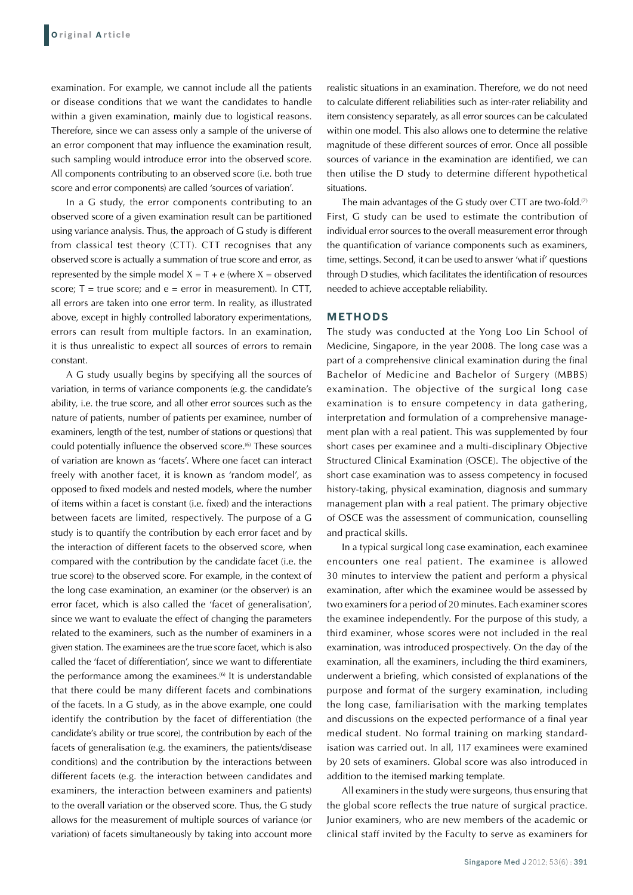examination. For example, we cannot include all the patients or disease conditions that we want the candidates to handle within a given examination, mainly due to logistical reasons. Therefore, since we can assess only a sample of the universe of an error component that may influence the examination result, such sampling would introduce error into the observed score. All components contributing to an observed score (i.e. both true score and error components) are called 'sources of variation'.

In a G study, the error components contributing to an observed score of a given examination result can be partitioned using variance analysis. Thus, the approach of G study is different from classical test theory (CTT). CTT recognises that any observed score is actually a summation of true score and error, as represented by the simple model  $X = T + e$  (where  $X =$  observed score;  $T = true$  score; and  $e = error$  in measurement). In CTT, all errors are taken into one error term. In reality, as illustrated above, except in highly controlled laboratory experimentations, errors can result from multiple factors. In an examination, it is thus unrealistic to expect all sources of errors to remain constant.

A G study usually begins by specifying all the sources of variation, in terms of variance components (e.g. the candidate's ability, i.e. the true score, and all other error sources such as the nature of patients, number of patients per examinee, number of examiners, length of the test, number of stations or questions) that could potentially influence the observed score.<sup>(6)</sup> These sources of variation are known as 'facets'. Where one facet can interact freely with another facet, it is known as 'random model', as opposed to fixed models and nested models, where the number of items within a facet is constant (i.e. fixed) and the interactions between facets are limited, respectively. The purpose of a G study is to quantify the contribution by each error facet and by the interaction of different facets to the observed score, when compared with the contribution by the candidate facet (i.e. the true score) to the observed score. For example, in the context of the long case examination, an examiner (or the observer) is an error facet, which is also called the 'facet of generalisation', since we want to evaluate the effect of changing the parameters related to the examiners, such as the number of examiners in a given station. The examinees are the true score facet, which is also called the 'facet of differentiation', since we want to differentiate the performance among the examinees. $(6)$  It is understandable that there could be many different facets and combinations of the facets. In a G study, as in the above example, one could identify the contribution by the facet of differentiation (the candidate's ability or true score), the contribution by each of the facets of generalisation (e.g. the examiners, the patients/disease conditions) and the contribution by the interactions between different facets (e.g. the interaction between candidates and examiners, the interaction between examiners and patients) to the overall variation or the observed score. Thus, the G study allows for the measurement of multiple sources of variance (or variation) of facets simultaneously by taking into account more

realistic situations in an examination. Therefore, we do not need to calculate different reliabilities such as inter-rater reliability and item consistency separately, as all error sources can be calculated within one model. This also allows one to determine the relative magnitude of these different sources of error. Once all possible sources of variance in the examination are identified, we can then utilise the D study to determine different hypothetical situations.

The main advantages of the G study over CTT are two-fold. $(7)$ First, G study can be used to estimate the contribution of individual error sources to the overall measurement error through the quantification of variance components such as examiners, time, settings. Second, it can be used to answer 'what if' questions through D studies, which facilitates the identification of resources needed to achieve acceptable reliability.

#### **METHODS**

The study was conducted at the Yong Loo Lin School of Medicine, Singapore, in the year 2008. The long case was a part of a comprehensive clinical examination during the final Bachelor of Medicine and Bachelor of Surgery (MBBS) examination. The objective of the surgical long case examination is to ensure competency in data gathering, interpretation and formulation of a comprehensive management plan with a real patient. This was supplemented by four short cases per examinee and a multi-disciplinary Objective Structured Clinical Examination (OSCE). The objective of the short case examination was to assess competency in focused history-taking, physical examination, diagnosis and summary management plan with a real patient. The primary objective of OSCE was the assessment of communication, counselling and practical skills.

In a typical surgical long case examination, each examinee encounters one real patient. The examinee is allowed 30 minutes to interview the patient and perform a physical examination, after which the examinee would be assessed by two examiners for a period of 20 minutes. Each examiner scores the examinee independently. For the purpose of this study, a third examiner, whose scores were not included in the real examination, was introduced prospectively. On the day of the examination, all the examiners, including the third examiners, underwent a briefing, which consisted of explanations of the purpose and format of the surgery examination, including the long case, familiarisation with the marking templates and discussions on the expected performance of a final year medical student. No formal training on marking standardisation was carried out. In all, 117 examinees were examined by 20 sets of examiners. Global score was also introduced in addition to the itemised marking template.

All examiners in the study were surgeons, thus ensuring that the global score reflects the true nature of surgical practice. Junior examiners, who are new members of the academic or clinical staff invited by the Faculty to serve as examiners for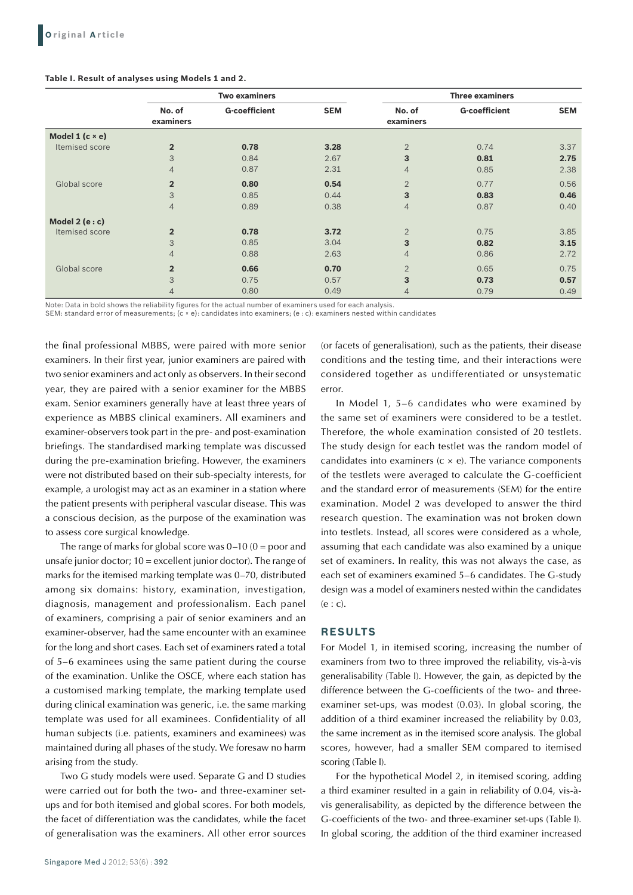# **Table I. Result of analyses using Models 1 and 2.**

|                            | <b>Two examiners</b> |                      |            | <b>Three examiners</b> |                      |            |
|----------------------------|----------------------|----------------------|------------|------------------------|----------------------|------------|
|                            | No. of<br>examiners  | <b>G-coefficient</b> | <b>SEM</b> | No. of<br>examiners    | <b>G-coefficient</b> | <b>SEM</b> |
| Model $1$ ( $c \times e$ ) |                      |                      |            |                        |                      |            |
| Itemised score             | $\overline{2}$       | 0.78                 | 3.28       | $\overline{2}$         | 0.74                 | 3.37       |
|                            | 3                    | 0.84                 | 2.67       | 3                      | 0.81                 | 2.75       |
|                            | $\overline{4}$       | 0.87                 | 2.31       | $\overline{4}$         | 0.85                 | 2.38       |
| Global score               | $\overline{2}$       | 0.80                 | 0.54       | $\overline{2}$         | 0.77                 | 0.56       |
|                            | 3                    | 0.85                 | 0.44       | 3                      | 0.83                 | 0.46       |
|                            | $\overline{4}$       | 0.89                 | 0.38       | $\overline{4}$         | 0.87                 | 0.40       |
| Model $2(e:c)$             |                      |                      |            |                        |                      |            |
| Itemised score             | $\overline{2}$       | 0.78                 | 3.72       | $\overline{2}$         | 0.75                 | 3.85       |
|                            | 3                    | 0.85                 | 3.04       | 3                      | 0.82                 | 3.15       |
|                            | $\overline{4}$       | 0.88                 | 2.63       | $\overline{4}$         | 0.86                 | 2.72       |
| Global score               | $\overline{2}$       | 0.66                 | 0.70       | $\overline{2}$         | 0.65                 | 0.75       |
|                            | 3                    | 0.75                 | 0.57       | 3                      | 0.73                 | 0.57       |
|                            | 4                    | 0.80                 | 0.49       | $\overline{4}$         | 0.79                 | 0.49       |

Note: Data in bold shows the reliability figures for the actual number of examiners used for each analysis.

SEM: standard error of measurements; (c × e): candidates into examiners; (e : c): examiners nested within candidates

the final professional MBBS, were paired with more senior examiners. In their first year, junior examiners are paired with two senior examiners and act only as observers. In their second year, they are paired with a senior examiner for the MBBS exam. Senior examiners generally have at least three years of experience as MBBS clinical examiners. All examiners and examiner-observers took part in the pre- and post-examination briefings. The standardised marking template was discussed during the pre-examination briefing. However, the examiners were not distributed based on their sub-specialty interests, for example, a urologist may act as an examiner in a station where the patient presents with peripheral vascular disease. This was a conscious decision, as the purpose of the examination was to assess core surgical knowledge.

The range of marks for global score was  $0-10$  ( $0 =$  poor and unsafe junior doctor; 10 = excellent junior doctor). The range of marks for the itemised marking template was 0–70, distributed among six domains: history, examination, investigation, diagnosis, management and professionalism. Each panel of examiners, comprising a pair of senior examiners and an examiner-observer, had the same encounter with an examinee for the long and short cases. Each set of examiners rated a total of 5–6 examinees using the same patient during the course of the examination. Unlike the OSCE, where each station has a customised marking template, the marking template used during clinical examination was generic, i.e. the same marking template was used for all examinees. Confidentiality of all human subjects (i.e. patients, examiners and examinees) was maintained during all phases of the study. We foresaw no harm arising from the study.

Two G study models were used. Separate G and D studies were carried out for both the two- and three-examiner setups and for both itemised and global scores. For both models, the facet of differentiation was the candidates, while the facet of generalisation was the examiners. All other error sources (or facets of generalisation), such as the patients, their disease conditions and the testing time, and their interactions were considered together as undifferentiated or unsystematic error.

In Model 1, 5–6 candidates who were examined by the same set of examiners were considered to be a testlet. Therefore, the whole examination consisted of 20 testlets. The study design for each testlet was the random model of candidates into examiners  $(c \times e)$ . The variance components of the testlets were averaged to calculate the G-coefficient and the standard error of measurements (SEM) for the entire examination. Model 2 was developed to answer the third research question. The examination was not broken down into testlets. Instead, all scores were considered as a whole, assuming that each candidate was also examined by a unique set of examiners. In reality, this was not always the case, as each set of examiners examined 5–6 candidates. The G-study design was a model of examiners nested within the candidates (e : c).

#### **RESULTS**

For Model 1, in itemised scoring, increasing the number of examiners from two to three improved the reliability, vis-à-vis generalisability (Table I). However, the gain, as depicted by the difference between the G-coefficients of the two- and threeexaminer set-ups, was modest (0.03). In global scoring, the addition of a third examiner increased the reliability by 0.03, the same increment as in the itemised score analysis. The global scores, however, had a smaller SEM compared to itemised scoring (Table I).

For the hypothetical Model 2, in itemised scoring, adding a third examiner resulted in a gain in reliability of 0.04, vis-àvis generalisability, as depicted by the difference between the G-coefficients of the two- and three-examiner set-ups (Table I). In global scoring, the addition of the third examiner increased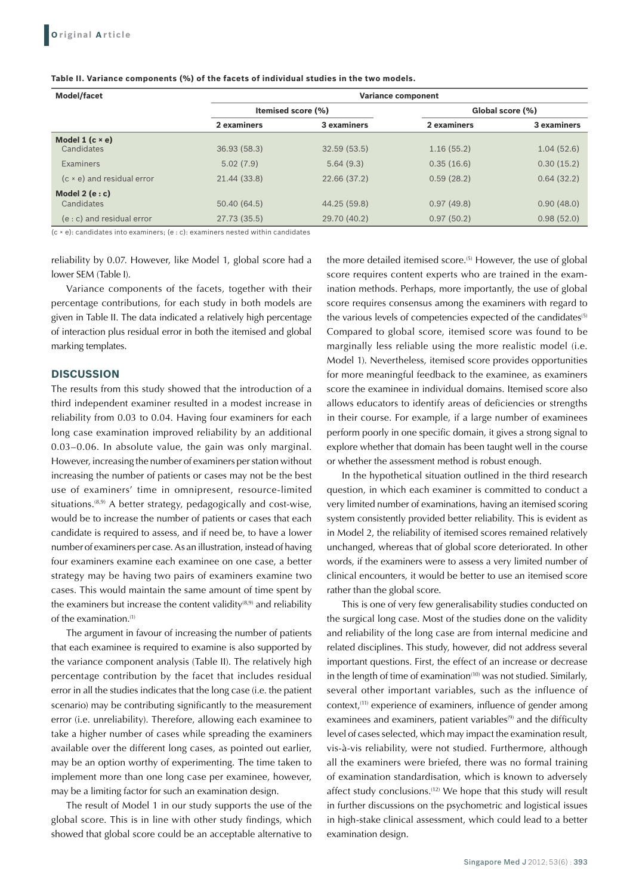|  | Table II. Variance components (%) of the facets of individual studies in the two models. |  |
|--|------------------------------------------------------------------------------------------|--|
|--|------------------------------------------------------------------------------------------|--|

| <b>Model/facet</b>                     | <b>Variance component</b> |                    |                  |             |  |  |  |
|----------------------------------------|---------------------------|--------------------|------------------|-------------|--|--|--|
|                                        |                           | Itemised score (%) | Global score (%) |             |  |  |  |
|                                        | 2 examiners               | 3 examiners        | 2 examiners      | 3 examiners |  |  |  |
| Model $1$ (c $\times$ e)<br>Candidates | 36.93 (58.3)              | 32.59(53.5)        | 1.16(55.2)       | 1.04(52.6)  |  |  |  |
| Examiners                              | 5.02(7.9)                 | 5.64(9.3)          | 0.35(16.6)       | 0.30(15.2)  |  |  |  |
| $(c \times e)$ and residual error      | 21.44 (33.8)              | 22.66 (37.2)       | 0.59(28.2)       | 0.64(32.2)  |  |  |  |
| Model $2(e:c)$<br>Candidates           | 50.40 (64.5)              | 44.25 (59.8)       | 0.97(49.8)       | 0.90(48.0)  |  |  |  |
| $(e: c)$ and residual error            | 27.73(35.5)               | 29.70 (40.2)       | 0.97(50.2)       | 0.98(52.0)  |  |  |  |

(c × e): candidates into examiners; (e : c): examiners nested within candidates

reliability by 0.07. However, like Model 1, global score had a lower SEM (Table I).

Variance components of the facets, together with their percentage contributions, for each study in both models are given in Table II. The data indicated a relatively high percentage of interaction plus residual error in both the itemised and global marking templates.

#### **DISCUSSION**

The results from this study showed that the introduction of a third independent examiner resulted in a modest increase in reliability from 0.03 to 0.04. Having four examiners for each long case examination improved reliability by an additional 0.03–0.06. In absolute value, the gain was only marginal. However, increasing the number of examiners per station without increasing the number of patients or cases may not be the best use of examiners' time in omnipresent, resource-limited situations.<sup>(8,9)</sup> A better strategy, pedagogically and cost-wise, would be to increase the number of patients or cases that each candidate is required to assess, and if need be, to have a lower number of examiners per case. As an illustration, instead of having four examiners examine each examinee on one case, a better strategy may be having two pairs of examiners examine two cases. This would maintain the same amount of time spent by the examiners but increase the content validity $(8,9)$  and reliability of the examination.(1)

The argument in favour of increasing the number of patients that each examinee is required to examine is also supported by the variance component analysis (Table II). The relatively high percentage contribution by the facet that includes residual error in all the studies indicates that the long case (i.e. the patient scenario) may be contributing significantly to the measurement error (i.e. unreliability). Therefore, allowing each examinee to take a higher number of cases while spreading the examiners available over the different long cases, as pointed out earlier, may be an option worthy of experimenting. The time taken to implement more than one long case per examinee, however, may be a limiting factor for such an examination design.

The result of Model 1 in our study supports the use of the global score. This is in line with other study findings, which showed that global score could be an acceptable alternative to the more detailed itemised score.<sup>(5)</sup> However, the use of global score requires content experts who are trained in the examination methods. Perhaps, more importantly, the use of global score requires consensus among the examiners with regard to the various levels of competencies expected of the candidates<sup>(5)</sup> Compared to global score, itemised score was found to be marginally less reliable using the more realistic model (i.e. Model 1). Nevertheless, itemised score provides opportunities for more meaningful feedback to the examinee, as examiners score the examinee in individual domains. Itemised score also allows educators to identify areas of deficiencies or strengths in their course. For example, if a large number of examinees perform poorly in one specific domain, it gives a strong signal to explore whether that domain has been taught well in the course or whether the assessment method is robust enough.

In the hypothetical situation outlined in the third research question, in which each examiner is committed to conduct a very limited number of examinations, having an itemised scoring system consistently provided better reliability. This is evident as in Model 2, the reliability of itemised scores remained relatively unchanged, whereas that of global score deteriorated. In other words, if the examiners were to assess a very limited number of clinical encounters, it would be better to use an itemised score rather than the global score.

This is one of very few generalisability studies conducted on the surgical long case. Most of the studies done on the validity and reliability of the long case are from internal medicine and related disciplines. This study, however, did not address several important questions. First, the effect of an increase or decrease in the length of time of examination<sup>(10)</sup> was not studied. Similarly, several other important variables, such as the influence of context,(11) experience of examiners, influence of gender among examinees and examiners, patient variables<sup>(9)</sup> and the difficulty level of cases selected, which may impact the examination result, vis-à-vis reliability, were not studied. Furthermore, although all the examiners were briefed, there was no formal training of examination standardisation, which is known to adversely affect study conclusions.(12) We hope that this study will result in further discussions on the psychometric and logistical issues in high-stake clinical assessment, which could lead to a better examination design.